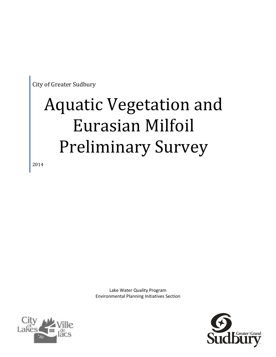City of Greater Sudbury

## Aquatic Vegetation and Eurasian Milfoil Preliminary Survey

2014

Lake Water Quality Program Environmental Planning Initiatives Section



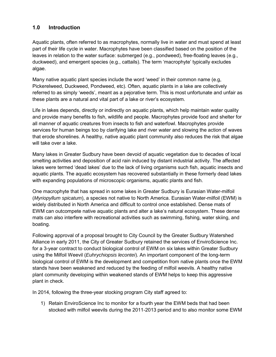### **1.0 Introduction**

Aquatic plants, often referred to as macrophytes, normally live in water and must spend at least part of their life cycle in water. Macrophytes have been classified based on the position of the leaves in relation to the water surface: submerged (e.g., pondweed), free-floating leaves (e.g., duckweed), and emergent species (e.g., cattails). The term 'macrophyte' typically excludes algae.

Many native aquatic plant species include the word 'weed' in their common name (e.g, Pickerelweed, Duckweed, Pondweed, etc). Often, aquatic plants in a lake are collectively referred to as simply 'weeds', meant as a pejorative term. This is most unfortunate and unfair as these plants are a natural and vital part of a lake or river's ecosystem.

Life in lakes depends, directly or indirectly on aquatic plants, which help maintain water quality and provide many benefits to fish, wildlife and people. Macrophytes provide food and shelter for all manner of aquatic creatures from insects to fish and waterfowl. Macrophytes provide services for human beings too by clarifying lake and river water and slowing the action of waves that erode shorelines. A healthy, native aquatic plant community also reduces the risk that algae will take over a lake.

Many lakes in Greater Sudbury have been devoid of aquatic vegetation due to decades of local smelting activities and deposition of acid rain induced by distant industrial activity. The affected lakes were termed 'dead lakes' due to the lack of living organisms such fish, aquatic insects and aquatic plants. The aquatic ecosystem has recovered substantially in these formerly dead lakes with expanding populations of microscopic organisms, aquatic plants and fish.

One macrophyte that has spread in some lakes in Greater Sudbury is Eurasian Water-milfoil (*Myriopyllum spicatum*), a species not native to North America. Eurasian Water-milfoil (EWM) is widely distributed in North America and difficult to control once established. Dense mats of EWM can outcompete native aquatic plants and alter a lake's natural ecosystem. These dense mats can also interfere with recreational activities such as swimming, fishing, water skiing, and boating.

Following approval of a proposal brought to City Council by the Greater Sudbury Watershed Alliance in early 2011, the City of Greater Sudbury retained the services of EnviroScience Inc. for a 3-year contract to conduct biological control of EWM on six lakes within Greater Sudbury using the Milfoil Weevil (*Euhrychiopsis lecontei*). An important component of the long-term biological control of EWM is the development and competition from native plants once the EWM stands have been weakened and reduced by the feeding of milfoil weevils. A healthy native plant community developing within weakened stands of EWM helps to keep this aggressive plant in check.

In 2014, following the three-year stocking program City staff agreed to:

1) Retain EnviroScience Inc to monitor for a fourth year the EWM beds that had been stocked with milfoil weevils during the 2011-2013 period and to also monitor some EWM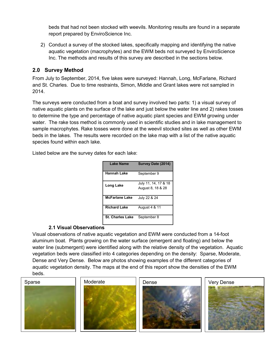beds that had not been stocked with weevils. Monitoring results are found in a separate report prepared by EnviroScience Inc.

2) Conduct a survey of the stocked lakes, specifically mapping and identifying the native aquatic vegetation (macrophytes) and the EWM beds not surveyed by EnviroScience Inc. The methods and results of this survey are described in the sections below.

### **2.0 Survey Method**

From July to September, 2014, five lakes were surveyed: Hannah, Long, McFarlane, Richard and St. Charles. Due to time restraints, Simon, Middle and Grant lakes were not sampled in 2014.

The surveys were conducted from a boat and survey involved two parts: 1) a visual survey of native aquatic plants on the surface of the lake and just below the water line and 2) rakes tosses to determine the type and percentage of native aquatic plant species and EWM growing under water. The rake toss method is commonly used in scientific studies and in lake management to sample macrophytes. Rake tosses were done at the weevil stocked sites as well as other EWM beds in the lakes. The results were recorded on the lake map with a list of the native aquatic species found within each lake.

Listed below are the survey dates for each lake:

| <b>Lake Name</b>        | Survey Date (2014)                        |
|-------------------------|-------------------------------------------|
| <b>Hannah Lake</b>      | September 9                               |
| Long Lake               | July 11, 14, 17 & 18<br>August 8, 18 & 28 |
| <b>McFarlane Lake</b>   | July 22 & 24                              |
| <b>Richard Lake</b>     | August 4 & 11                             |
| <b>St. Charles Lake</b> | September 8                               |

### **2.1 Visual Observations**

Visual observations of native aquatic vegetation and EWM were conducted from a 14-foot aluminum boat. Plants growing on the water surface (emergent and floating) and below the water line (submergent) were identified along with the relative density of the vegetation. Aquatic vegetation beds were classified into 4 categories depending on the density: Sparse, Moderate, Dense and Very Dense. Below are photos showing examples of the different categories of aquatic vegetation density. The maps at the end of this report show the densities of the EWM beds.

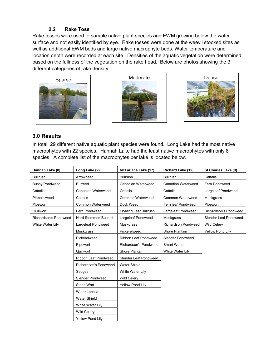### **2.2 Rake Toss**

Rake tosses were used to sample native plant species and EWM growing below the water surface and not easily identified by eye. Rake tosses were done at the weevil stocked sites as well as additional EWM beds and large native macrophyte beds. Water temperature and location depth were recorded at each site. Densities of the aquatic vegetation were determined based on the fullness of the vegetation on the rake head. Below are photos showing the 3 different categories of rake density.







### **3.0 Results**

In total, 29 different native aquatic plant species were found. Long Lake had the most native macrophytes with 22 species. Hannah Lake had the least native macrophytes with only 8 species. A complete list of the macrophytes per lake is located below.

| Hannah Lake (8)       | Long Lake (22)          | McFarlane Lake (17)           | <b>Richard Lake (12)</b>   | St Charles Lake (9)   |
|-----------------------|-------------------------|-------------------------------|----------------------------|-----------------------|
| Bullrush              | Arrowhead               | <b>Bullrush</b>               | <b>Bullrush</b>            | Cattails              |
| <b>Bushy Pondweed</b> | <b>Burreed</b>          | Canadian Waterweed            | Canadian Waterweed         | Fern Pondweed         |
| Cattails              | Canadian Waterweed      | Cattails                      | Cattails                   | Largeleaf Pondweed    |
| Pickerelweed          | Cattails                | Common Waterweed              | Common Waterweed           | Muskgrass             |
| Pipewort              | <b>Common Waterweed</b> | Duck Weed                     | Fern leaf Pondweed         | Pipewort              |
| Quillwort             | Fern Pondweed           | <b>Floating Leaf Bullrush</b> | Largeleaf Pondweed         | Richardson's Pondweed |
| Richardson's Pondweed | Hard Stemmed Bullrush   | Largeleaf Pondweed            | <b>Muskgrass</b>           | Slender Leaf Pondweed |
| White Water Lily      | Largeleaf Pondweed      | Muskgrass                     | <b>Richardson Pondweed</b> | Wild Celery           |
|                       | Muskgrass               | Pickerelweed                  | Shore Plantain             | Yellow Pond Lily      |
|                       | Pickerelweed            | Ribbon Leaf Pondweed          | Slender Pondweed           |                       |
|                       | Pipewort                | Richardson's Pondweed         | Smart Weed                 |                       |
|                       | Quillwort               | Shore Plantain                | White Water Lily           |                       |
|                       | Ribbon Leaf Pondweed    | Slender Leaf Pondweed         |                            |                       |
|                       | Richardson's Pondweed   | <b>Water Shield</b>           |                            |                       |
|                       | Sedges                  | White Water Lily              |                            |                       |
|                       | Slender Pondweed        | Wild Celery                   |                            |                       |
|                       | Stone Wart              | Yellow Pond Lily              |                            |                       |
|                       | Water Lobelia           |                               |                            |                       |
|                       | <b>Water Shield</b>     |                               |                            |                       |
|                       | White Water Lily        |                               |                            |                       |
|                       | Wild Celery             |                               |                            |                       |
|                       | <b>Yellow Pond Lily</b> |                               |                            |                       |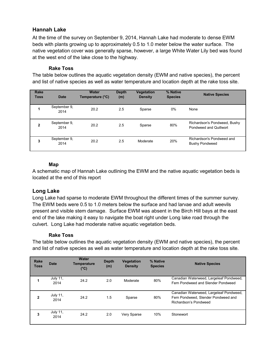### **Hannah Lake**

At the time of the survey on September 9, 2014, Hannah Lake had moderate to dense EWM beds with plants growing up to approximately 0.5 to 1.0 meter below the water surface. The native vegetation cover was generally sparse, however, a large White Water Lily bed was found at the west end of the lake close to the highway.

### **Rake Toss**

The table below outlines the aquatic vegetation density (EWM and native species), the percent and list of native species as well as water temperature and location depth at the rake toss site.

| <b>Rake</b><br><b>Toss</b> | <b>Date</b>          | <b>Water</b><br>Temperature (°C) | <b>Depth</b><br>(m) | Vegetation<br><b>Density</b> | % Native<br><b>Species</b> | <b>Native Species</b>                                  |
|----------------------------|----------------------|----------------------------------|---------------------|------------------------------|----------------------------|--------------------------------------------------------|
| 1                          | September 9,<br>2014 | 20.2                             | 2.5                 | Sparse                       | 0%                         | None                                                   |
| $\mathbf{2}$               | September 9,<br>2014 | 20.2                             | 2.5                 | Sparse                       | 80%                        | Richardson's Pondweed, Bushy<br>Pondweed and Quillwort |
| 3                          | September 9,<br>2014 | 20.2                             | 2.5                 | Moderate                     | 20%                        | Richardson's Pondweed and<br><b>Bushy Pondweed</b>     |

### **Map**

A schematic map of Hannah Lake outlining the EWM and the native aquatic vegetation beds is located at the end of this report

### **Long Lake**

Long Lake had sparse to moderate EWM throughout the different times of the summer survey. The EWM beds were 0.5 to 1.0 meters below the surface and had larvae and adult weevils present and visible stem damage. Surface EWM was absent in the Birch Hill bays at the east end of the lake making it easy to navigate the boat right under Long lake road through the culvert. Long Lake had moderate native aquatic vegetation beds.

### **Rake Toss**

The table below outlines the aquatic vegetation density (EWM and native species), the percent and list of native species as well as water temperature and location depth at the rake toss site.

| <b>Rake</b><br><b>Toss</b> | <b>Date</b>             | Water<br><b>Temperature</b><br>(°C) | <b>Depth</b><br>(m) | <b>Vegetation</b><br><b>Density</b> | % Native<br><b>Species</b> | <b>Native Species</b>                                                                                   |
|----------------------------|-------------------------|-------------------------------------|---------------------|-------------------------------------|----------------------------|---------------------------------------------------------------------------------------------------------|
|                            | July 11,<br>2014        | 24.2                                | 2.0                 | Moderate                            | 80%                        | Canadian Waterweed, Largeleaf Pondweed,<br>Fern Pondweed and Slender Pondweed                           |
| $\mathbf{2}$               | July 11,<br>2014        | 24.2                                | 1.5                 | Sparse                              | 80%                        | Canadian Waterweed, Largeleaf Pondweed,<br>Fern Pondweed, Slender Pondweed and<br>Richardson's Pondweed |
| 3                          | <b>July 11,</b><br>2014 | 24.2                                | 2.0                 | Very Sparse                         | 10%                        | Stonewort                                                                                               |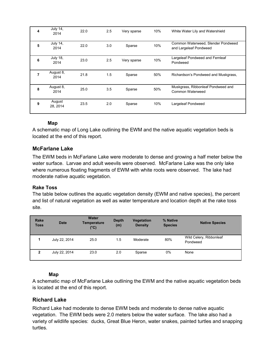| 4 | <b>July 14,</b><br>2014 | 22.0 | 2.5 | Very sparse | 10% | White Water Lily and Watershield                             |
|---|-------------------------|------|-----|-------------|-----|--------------------------------------------------------------|
| 5 | July 14,<br>2014        | 22.0 | 3.0 | Sparse      | 10% | Common Waterweed, Slender Pondweed<br>and Largeleaf Pondweed |
| 6 | <b>July 18,</b><br>2014 | 23.0 | 2.5 | Very sparse | 10% | Largeleaf Pondweed and Fernleaf<br>Pondweed                  |
| 7 | August 8,<br>2014       | 21.8 | 1.5 | Sparse      | 50% | Richardson's Pondweed and Muskgrass,                         |
| 8 | August 8,<br>2014       | 25.0 | 3.5 | Sparse      | 50% | Muskgrass, Ribbonleaf Pondweed and<br>Common Waterweed       |
| 9 | August<br>28.2014       | 23.5 | 2.0 | Sparse      | 10% | Largeleaf Pondweed                                           |

### **Map**

A schematic map of Long Lake outlining the EWM and the native aquatic vegetation beds is located at the end of this report.

### **McFarlane Lake**

The EWM beds in McFarlane Lake were moderate to dense and growing a half meter below the water surface. Larvae and adult weevils were observed. McFarlane Lake was the only lake where numerous floating fragments of EWM with white roots were observed. The lake had moderate native aquatic vegetation.

### **Rake Toss**

The table below outlines the aquatic vegetation density (EWM and native species), the percent and list of natural vegetation as well as water temperature and location depth at the rake toss site.

| <b>Rake</b><br><b>Toss</b> | <b>Date</b>   | <b>Water</b><br><b>Temperature</b><br>(°C) | <b>Depth</b><br>(m) | <b>Vegetation</b><br><b>Density</b> | % Native<br><b>Species</b> | <b>Native Species</b>               |
|----------------------------|---------------|--------------------------------------------|---------------------|-------------------------------------|----------------------------|-------------------------------------|
|                            | July 22, 2014 | 25.0                                       | 1.5                 | Moderate                            | 80%                        | Wild Celery, Ribbonleaf<br>Pondweed |
| 2                          | July 22, 2014 | 23.0                                       | 2.0                 | Sparse                              | 0%                         | None                                |

### **Map**

A schematic map of McFarlane Lake outlining the EWM and the native aquatic vegetation beds is located at the end of this report.

### **Richard Lake**

Richard Lake had moderate to dense EWM beds and moderate to dense native aquatic vegetation. The EWM beds were 2.0 meters below the water surface. The lake also had a variety of wildlife species: ducks, Great Blue Heron, water snakes, painted turtles and snapping turtles.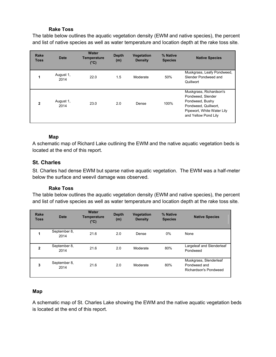### **Rake Toss**

The table below outlines the aquatic vegetation density (EWM and native species), the percent and list of native species as well as water temperature and location depth at the rake toss site.

| <b>Rake</b><br><b>Toss</b> | <b>Date</b>       | <b>Water</b><br><b>Temperature</b><br>$(^{\circ}C)$ | <b>Depth</b><br>(m) | <b>Vegetation</b><br><b>Density</b> | % Native<br><b>Species</b> | <b>Native Species</b>                                                                                                                         |
|----------------------------|-------------------|-----------------------------------------------------|---------------------|-------------------------------------|----------------------------|-----------------------------------------------------------------------------------------------------------------------------------------------|
| 1                          | August 1,<br>2014 | 22.0                                                | 1.5                 | Moderate                            | 50%                        | Muskgrass, Leafy Pondweed,<br>Slender Pondweed and<br>Quillwort                                                                               |
| $\overline{2}$             | August 1,<br>2014 | 23.0                                                | 2.0                 | Dense                               | 100%                       | Muskgrass, Richardson's<br>Pondweed, Slender<br>Pondweed, Bushy<br>Pondweed, Quillwort,<br>Pipewort, White Water Lily<br>and Yellow Pond Lily |

### **Map**

A schematic map of Richard Lake outlining the EWM and the native aquatic vegetation beds is located at the end of this report.

### **St. Charles**

St. Charles had dense EWM but sparse native aquatic vegetation. The EWM was a half-meter below the surface and weevil damage was observed.

### **Rake Toss**

The table below outlines the aquatic vegetation density (EWM and native species), the percent and list of native species as well as water temperature and location depth at the rake toss site.

| <b>Rake</b><br><b>Toss</b> | <b>Date</b>          | Water<br><b>Temperature</b><br>$(^{\circ}C)$ | <b>Depth</b><br>(m) | <b>Vegetation</b><br><b>Density</b> | % Native<br><b>Species</b> | <b>Native Species</b>                                           |
|----------------------------|----------------------|----------------------------------------------|---------------------|-------------------------------------|----------------------------|-----------------------------------------------------------------|
|                            | September 8,<br>2014 | 21.6                                         | 2.0                 | Dense                               | $0\%$                      | None                                                            |
| $\mathbf{2}$               | September 8,<br>2014 | 21.6                                         | 2.0                 | Moderate                            | 80%                        | Largeleaf and Slenderleaf<br>Pondweed                           |
| 3                          | September 8,<br>2014 | 21.6                                         | 2.0                 | Moderate                            | 80%                        | Muskgrass, Slenderleaf<br>Pondweed and<br>Richardson's Pondweed |

### **Map**

A schematic map of St. Charles Lake showing the EWM and the native aquatic vegetation beds is located at the end of this report.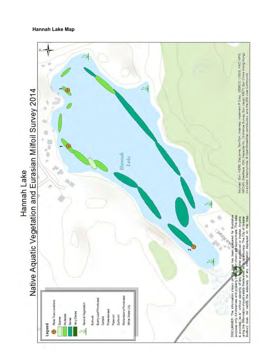### **Hannah Lake Map**

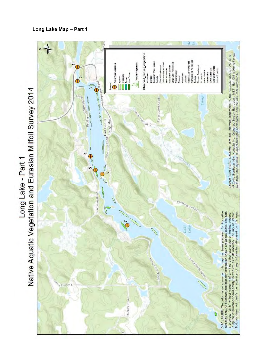

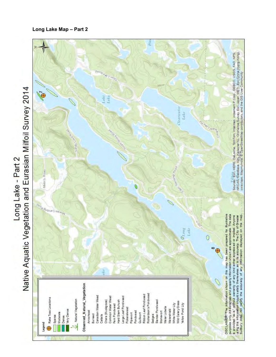## Native Aquatic Vegetation and Eurasian Milfoil Survey 2014 Long Lake - Part 2



### **Long Lake Map – Part 2**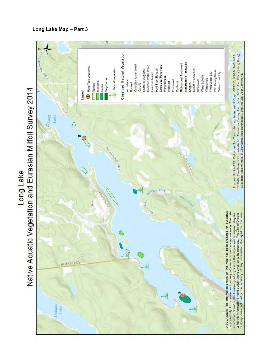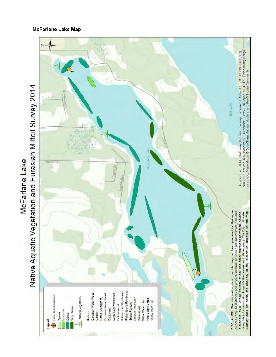## Native Aquatic Vegetation and Eurasian Milfoil Survey 2014 McFarlane Lake



### **McFarlane Lake Map**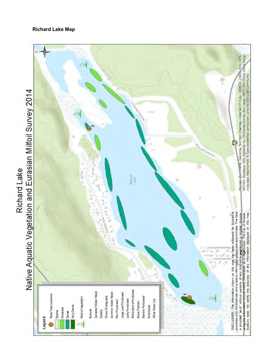

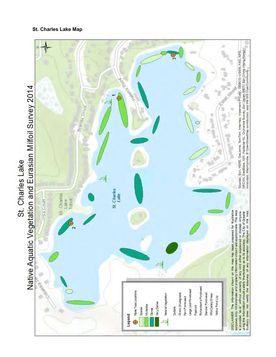### **St. Charles Lake Map**



# St. Charles Lake